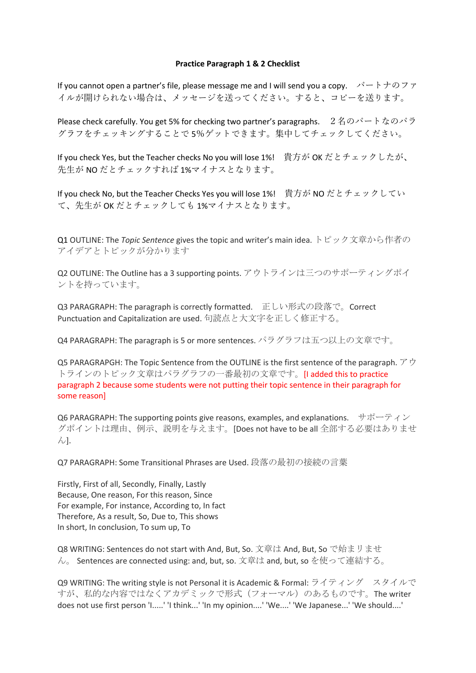### **Practice Paragraph 1 & 2 Checklist**

If you cannot open a partner's file, please message me and I will send you a copy.  $\forall \neg \vdash \forall \varnothing \not\supset \forall$ イルが開けられない場合は、メッセージを送ってください。すると、コピーを送ります。

Please check carefully. You get 5% for checking two partner's paragraphs. 2名のパートなのパラ グラフをチェッキングすることで 5%ゲットできます。集中してチェックしてください。

If you check Yes, but the Teacher checks No you will lose 1%! 貴⽅が OK だとチェックしたが、 先生が NO だとチェックすれば 1%マイナスとなります。

If you check No, but the Teacher Checks Yes you will lose 1%! 貴⽅が NO だとチェックしてい て、先⽣が OK だとチェックしても 1%マイナスとなります。

Q1 OUTLINE: The *Topic Sentence* gives the topic and writer's main idea. トピック文章から作者の アイデアとトピックが分かります

Q2 OUTLINE: The Outline has a 3 supporting points. アウトラインは三つのサポーティングポイ ントを持っています。

Q3 PARAGRAPH: The paragraph is correctly formatted. 正しい形式の段落で。Correct Punctuation and Capitalization are used. 句読点と大文字を正しく修正する。

Q4 PARAGRAPH: The paragraph is 5 or more sentences. パラグラフは五つ以上の文章です。

Q5 PARAGRAPGH: The Topic Sentence from the OUTLINE is the first sentence of the paragraph.  $\mathcal{F} \dot{\mathcal{P}}$ トラインのトピック文章はパラグラフの一番最初の文章です。[I added this to practice paragraph 2 because some students were not putting their topic sentence in their paragraph for some reason]

Q6 PARAGRAPH: The supporting points give reasons, examples, and explanations. サポーティン グポイントは理由、例示、説明を与えます。[Does not have to be all 全部する必要はありませ ん].

Q7 PARAGRAPH: Some Transitional Phrases are Used. 段落の最初の接続の言葉

Firstly, First of all, Secondly, Finally, Lastly Because, One reason, For this reason, Since For example, For instance, According to, In fact Therefore, As a result, So, Due to, This shows In short, In conclusion, To sum up, To

Q8 WRITING: Sentences do not start with And, But, So. 文章は And, But, So で始まリませ ん。 Sentences are connected using: and, but, so. 文章は and, but, so を使って連結する。

Q9 WRITING: The writing style is not Personal it is Academic & Formal: ライティング スタイルで すが、私的な内容ではなくアカデミックで形式(フォーマル)のあるものです。The writer does not use first person 'I.....' 'I think...' 'In my opinion....' 'We....' 'We Japanese...' 'We should....'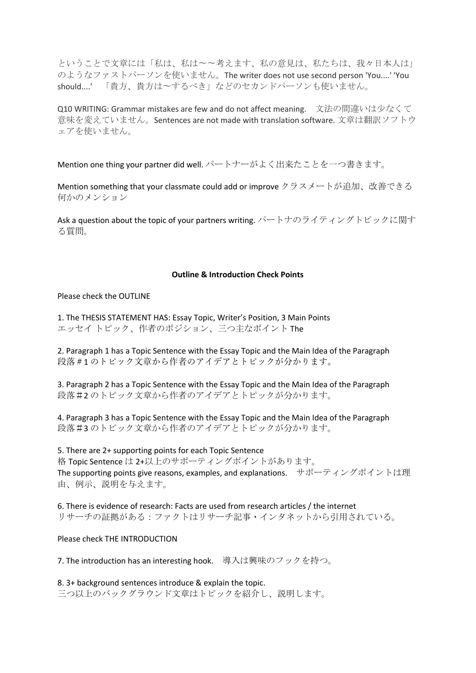ということで文章には「私は、私は〜〜考えます、私の意見は、私たちは、我々日本人は」 のようなファストパーソンを使いません。The writer does not use second person 'You....' 'You should....' 「貴方、貴方は〜するべき」などのセカンドパーソンも使いません。

Q10 WRITING: Grammar mistakes are few and do not affect meaning. 文法の間違いは少なくて 意味を変えていません。Sentences are not made with translation software. 文章は翻訳ソフトウ ェアを使いません。

Mention one thing your partner did well. パートナーがよく出来たことを一つ書きます。

Mention something that your classmate could add or improve クラスメートが追加、改善できる 何かのメンション

Ask a question about the topic of your partners writing. パートナのライティングトピックに関す る質問。

#### **Outline & Introduction Check Points**

Please check the OUTLINE

1. The THESIS STATEMENT HAS: Essay Topic, Writer's Position, 3 Main Points エッセイ トピック、作者のポジション、三つ主なポイント The

2. Paragraph 1 has a Topic Sentence with the Essay Topic and the Main Idea of the Paragraph 段落#1 のトピック⽂章から作者のアイデアとトピックが分かります。

3. Paragraph 2 has a Topic Sentence with the Essay Topic and the Main Idea of the Paragraph 段落#2 のトピック文章から作者のアイデアとトピックが分かります。

4. Paragraph 3 has a Topic Sentence with the Essay Topic and the Main Idea of the Paragraph 段落#3 のトピック文章から作者のアイデアとトピックが分かります。

5. There are 2+ supporting points for each Topic Sentence 格 Topic Sentence は 2+以上のサポーティングポイントがあります。 The supporting points give reasons, examples, and explanations. サポーティングポイントは理 由、例示、説明を与えます。

6. There is evidence of research: Facts are used from research articles / the internet リサーチの証拠がある:ファクトはリサーチ記事・インタネットから引用されている。

Please check THE INTRODUCTION

7. The introduction has an interesting hook. 導入は興味のフックを持つ。

8. 3+ background sentences introduce & explain the topic. 三つ以上のバックグラウンド文章はトピックを紹介し、説明します。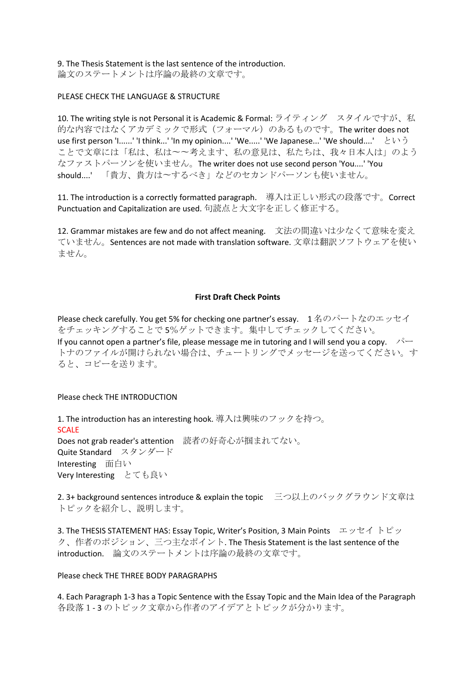9. The Thesis Statement is the last sentence of the introduction.

論文のステートメントは序論の最終の文章です。

## PLEASE CHECK THE LANGUAGE & STRUCTURE

10. The writing style is not Personal it is Academic & Formal: ライティング スタイルですが、私 的な内容ではなくアカデミックで形式 (フォーマル)のあるものです。The writer does not use first person 'I......' 'I think...' 'In my opinion....' 'We.....' 'We Japanese...' 'We should....' という ことで文章には「私は、私は〜〜考えます、私の意見は、私たちは、我々日本人は」のよう なファストパーソンを使いません。The writer does not use second person 'You....' 'You should....'「貴方、貴方は〜するべき」などのセカンドパーソンも使いません。

11. The introduction is a correctly formatted paragraph. 導入は正しい形式の段落です。Correct Punctuation and Capitalization are used. 句読点と大文字を正しく修正する。

12. Grammar mistakes are few and do not affect meaning. 文法の間違いは少なくて意味を変え ていません。Sentences are not made with translation software. 文章は翻訳ソフトウェアを使い ません。

## **First Draft Check Points**

Please check carefully. You get 5% for checking one partner's essay. 1名のパートなのエッセイ をチェッキングすることで 5%ゲットできます。集中してチェックしてください。 If you cannot open a partner's file, please message me in tutoring and I will send you a copy.  $\sqrt{2}$ トナのファイルが開けられない場合は、チュートリングでメッセージを送ってください。す ると、コピーを送ります。

## Please check THE INTRODUCTION

1. The introduction has an interesting hook. 導入は興味のフックを持つ。 **SCALE** Does not grab reader's attention 読者の好奇心が掴まれてない。 Quite Standard スタンダード Interesting 面白い Very Interesting とても良い

2. 3+ background sentences introduce & explain the topic 三つ以上のバックグラウンド文章は トピックを紹介し、説明します。

3. The THESIS STATEMENT HAS: Essay Topic, Writer's Position, 3 Main Points エッセイ トピッ ク、作者のポジション、三つ主なポイント. The Thesis Statement is the last sentence of the introduction. 論文のステートメントは序論の最終の文章です。

## Please check THE THREE BODY PARAGRAPHS

4. Each Paragraph 1-3 has a Topic Sentence with the Essay Topic and the Main Idea of the Paragraph 各段落1- 3 のトピック文章から作者のアイデアとトピックが分かります。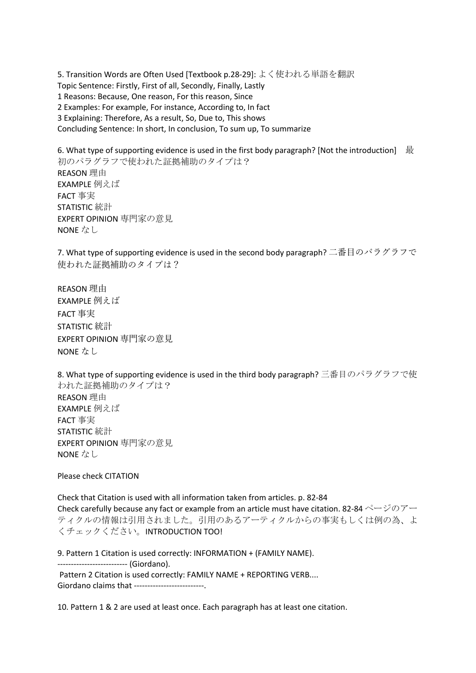5. Transition Words are Often Used [Textbook p.28-29]: よく使われる単語を翻訳 Topic Sentence: Firstly, First of all, Secondly, Finally, Lastly 1 Reasons: Because, One reason, For this reason, Since 2 Examples: For example, For instance, According to, In fact 3 Explaining: Therefore, As a result, So, Due to, This shows Concluding Sentence: In short, In conclusion, To sum up, To summarize

6. What type of supporting evidence is used in the first body paragraph? [Not the introduction] 最 初のパラグラフで使われた証拠補助のタイプは? REASON 理由 EXAMPLE 例えば FACT 事実 STATISTIC 統計 EXPERT OPINION 専門家の意見 NONE なし

7. What type of supporting evidence is used in the second body paragraph? 二番目のパラグラフで 使われた証拠補助のタイプは?

REASON 理由 EXAMPLE 例えば FACT 事実 STATISTIC 統計 EXPERT OPINION 専門家の意見 NONE なし

8. What type of supporting evidence is used in the third body paragraph? 三番目のパラグラフで使 われた証拠補助のタイプは? REASON 理由 EXAMPLE 例えば FACT 事実 STATISTIC 統計 EXPERT OPINION 専門家の意見 NONE なし

Please check CITATION

Check that Citation is used with all information taken from articles. p. 82-84 Check carefully because any fact or example from an article must have citation. 82-84 ページのアー ティクルの情報は引用されました。引用のあるアーティクルからの事実もしくは例の為、よ くチェックください。INTRODUCTION TOO!

9. Pattern 1 Citation is used correctly: INFORMATION + (FAMILY NAME). -------------------------- (Giordano). Pattern 2 Citation is used correctly: FAMILY NAME + REPORTING VERB.... Giordano claims that --------------------------.

10. Pattern 1 & 2 are used at least once. Each paragraph has at least one citation.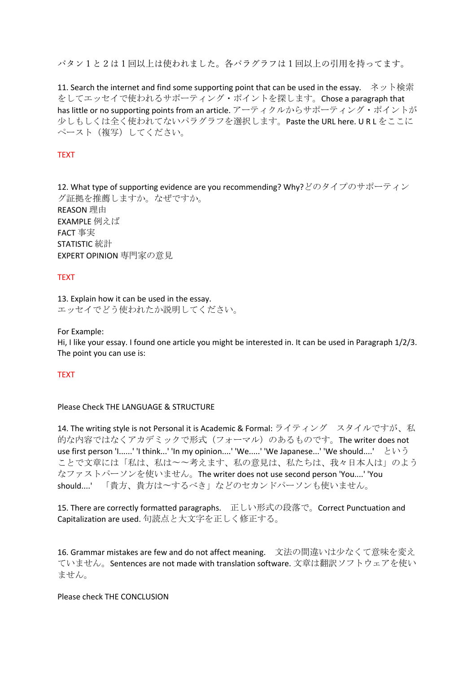パタン1と2は1回以上は使われました。各パラグラフは1回以上の引用を持ってます。

11. Search the internet and find some supporting point that can be used in the essay. ネット検索 をしてエッセイで使われるサポーティング・ポイントを探します。Chose a paragraph that has little or no supporting points from an article. アーティクルからサポーティング・ポイントが 少しもしくは全く使われてないパラグラフを選択します。Paste the URL here. U R L をここに ペースト(複写)してください。

# **TEXT**

12. What type of supporting evidence are you recommending? Why?どのタイプのサポーティン グ証拠を推薦しますか。なぜですか。 REASON 理由 EXAMPLE 例えば FACT 事実 STATISTIC 統計 EXPERT OPINION 専門家の意見

## TEXT

13. Explain how it can be used in the essay. エッセイでどう使われたか説明してください。

For Example:

Hi, I like your essay. I found one article you might be interested in. It can be used in Paragraph 1/2/3. The point you can use is:

#### TEXT

## Please Check THE LANGUAGE & STRUCTURE

14. The writing style is not Personal it is Academic & Formal: ライティング スタイルですが、私 的な内容ではなくアカデミックで形式(フォーマル)のあるものです。The writer does not use first person 'I......' 'I think...' 'In my opinion....' 'We.....' 'We Japanese...' 'We should....' という ことで文章には「私は、私は〜〜考えます、私の意見は、私たちは、我々日本人は」のよう なファストパーソンを使いません。The writer does not use second person 'You....' 'You should....' 「貴方、貴方は〜するべき」などのセカンドパーソンも使いません。

15. There are correctly formatted paragraphs. 正しい形式の段落で。Correct Punctuation and Capitalization are used. 句読点と大文字を正しく修正する。

16. Grammar mistakes are few and do not affect meaning. 文法の間違いは少なくて意味を変え ていません。Sentences are not made with translation software. 文章は翻訳ソフトウェアを使い ません。

### Please check THE CONCLUSION